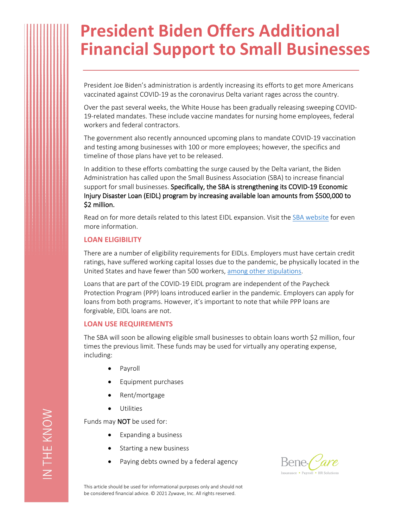# **President Biden Offers Additional Financial Support to Small Businesses**

President Joe Biden's administration is ardently increasing its efforts to get more Americans vaccinated against COVID-19 as the coronavirus Delta variant rages across the country.

Over the past several weeks, the White House has been gradually releasing sweeping COVID-19-related mandates. These include vaccine mandates for nursing home employees, federal workers and federal contractors.

The government also recently announced upcoming plans to mandate COVID-19 vaccination and testing among businesses with 100 or more employees; however, the specifics and timeline of those plans have yet to be released.

In addition to these efforts combatting the surge caused by the Delta variant, the Biden Administration has called upon the Small Business Association (SBA) to increase financial support for small businesses. **Specifically, the SBA is strengthening its COVID-19 Economic Injury Disaster Loan (EIDL) program by increasing available loan amounts from \$500,000 to \$2 million.**

Read on for more details related to this latest EIDL expansion. Visit the [SBA website](https://www.sba.gov/funding-programs/loans/covid-19-relief-options/eidl/covid-19-eidl) for even more information.

## **LOAN ELIGIBILITY**

There are a number of eligibility requirements for EIDLs. Employers must have certain credit ratings, have suffered working capital losses due to the pandemic, be physically located in the United States and have fewer than 500 workers, [among other stipulations](https://www.sba.gov/sites/default/files/2021-09/COVID-EIDL-FAQs-090821-508.pdf).

Loans that are part of the COVID-19 EIDL program are independent of the Paycheck Protection Program (PPP) loans introduced earlier in the pandemic. Employers can apply for loans from both programs. However, it's important to note that while PPP loans are forgivable, EIDL loans are not.

## **LOAN USE REQUIREMENTS**

The SBA will soon be allowing eligible small businesses to obtain loans worth \$2 million, four times the previous limit. These funds may be used for virtually any operating expense, including:

- **Payroll**
- Equipment purchases
- Rent/mortgage
- Utilities

Funds may **NOT** be used for:

- Expanding a business
- Starting a new business
- Paying debts owned by a federal agency



This article should be used for informational purposes only and should not be considered financial advice. © 2021 Zywave, Inc. All rights reserved.